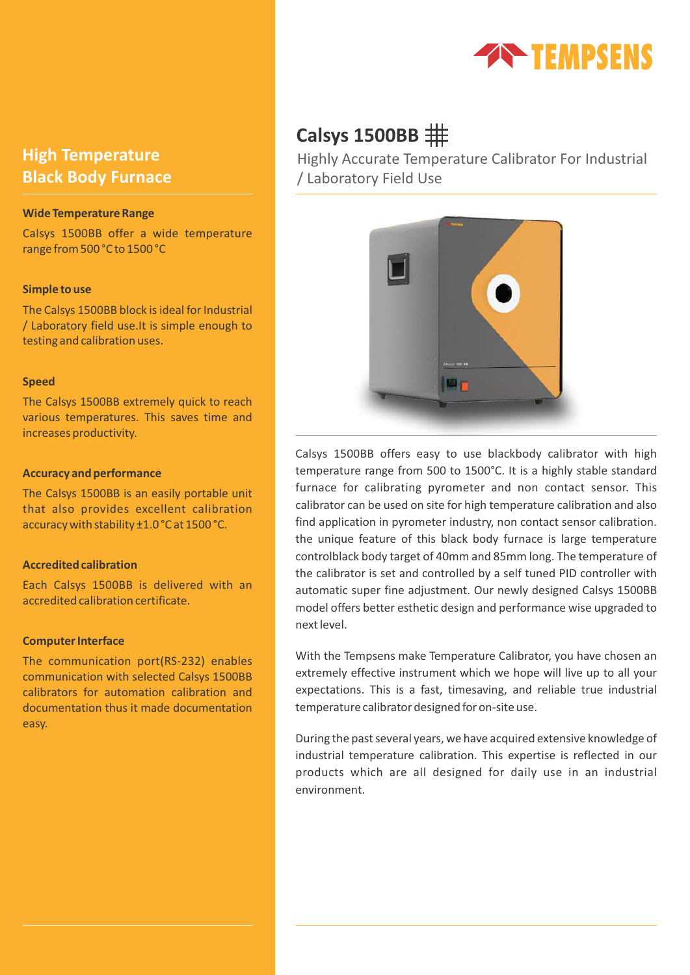

# **High Temperature Black Body Furnace**

## **Wide Temperature Range**

Calsys 1500BB offer a wide temperature range from 500 °C to 1500 °C

### **Simple to use**

The Calsys 1500BB block is ideal for Industrial / Laboratory field use.It is simple enough to testing and calibration uses.

### **Speed**

The Calsys 1500BB extremely quick to reach various temperatures. This saves time and increases productivity.

### **Accuracy and performance**

The Calsys 1500BB is an easily portable unit that also provides excellent calibration accuracy with stability ±1.0 °C at 1500 °C.

# **Accredited calibration**

Each Calsys 1500BB is delivered with an accredited calibration certificate.

### **Computer Interface**

The communication port(RS-232) enables communication with selected Calsys 1500BB calibrators for automation calibration and documentation thus it made documentation easy.

# **Calsys 1500BB**

Highly Accurate Temperature Calibrator For Industrial / Laboratory Field Use



Calsys 1500BB offers easy to use blackbody calibrator with high temperature range from 500 to 1500°C. It is a highly stable standard furnace for calibrating pyrometer and non contact sensor. This calibrator can be used on site for high temperature calibration and also find application in pyrometer industry, non contact sensor calibration. the unique feature of this black body furnace is large temperature controlblack body target of 40mm and 85mm long. The temperature of the calibrator is set and controlled by a self tuned PID controller with automatic super fine adjustment. Our newly designed Calsys 1500BB model offers better esthetic design and performance wise upgraded to next level.

With the Tempsens make Temperature Calibrator, you have chosen an extremely effective instrument which we hope will live up to all your expectations. This is a fast, timesaving, and reliable true industrial temperature calibrator designed for on-site use.

During the past several years, we have acquired extensive knowledge of industrial temperature calibration. This expertise is reflected in our products which are all designed for daily use in an industrial environment.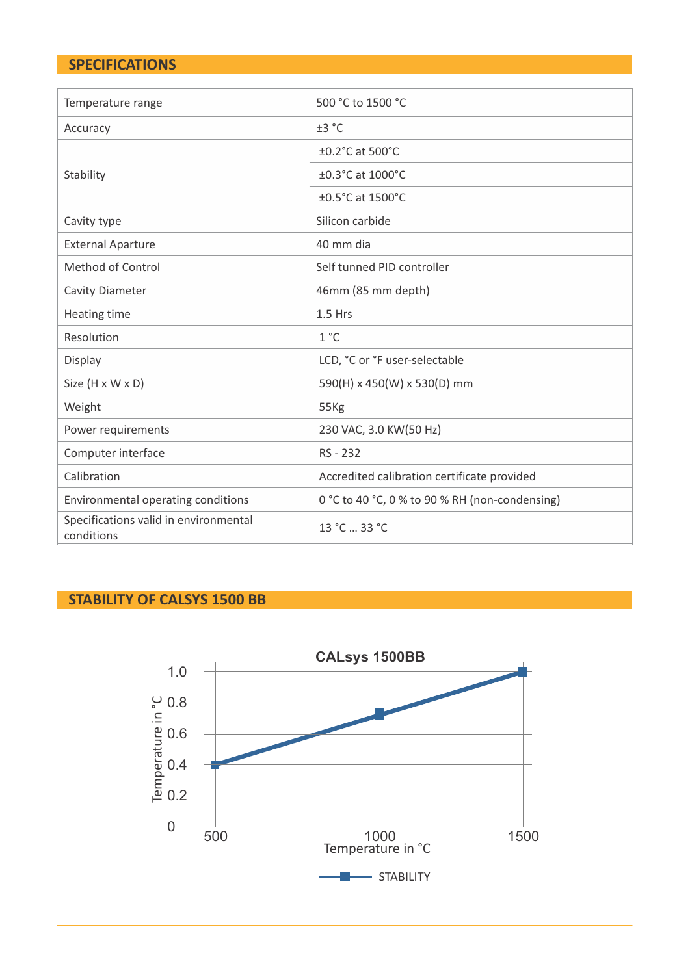# **SPECIFICATIONS**

| Temperature range                                   | 500 °C to 1500 °C                              |
|-----------------------------------------------------|------------------------------------------------|
| Accuracy                                            | ±3 °C                                          |
|                                                     | $\pm$ 0.2 $^{\circ}$ C at 500 $^{\circ}$ C     |
| Stability                                           | ±0.3°C at 1000°C                               |
|                                                     | ±0.5°C at 1500°C                               |
| Cavity type                                         | Silicon carbide                                |
| <b>External Aparture</b>                            | 40 mm dia                                      |
| Method of Control                                   | Self tunned PID controller                     |
| <b>Cavity Diameter</b>                              | 46mm (85 mm depth)                             |
| Heating time                                        | 1.5 Hrs                                        |
| Resolution                                          | $1^{\circ}$ C                                  |
| Display                                             | LCD, °C or °F user-selectable                  |
| Size (H x W x D)                                    | 590(H) x 450(W) x 530(D) mm                    |
| Weight                                              | 55Kg                                           |
| Power requirements                                  | 230 VAC, 3.0 KW(50 Hz)                         |
| Computer interface                                  | RS - 232                                       |
| Calibration                                         | Accredited calibration certificate provided    |
| Environmental operating conditions                  | 0 °C to 40 °C, 0 % to 90 % RH (non-condensing) |
| Specifications valid in environmental<br>conditions | 13 °C  33 °C                                   |

# **STABILITY OF CALSYS 1500 BB**